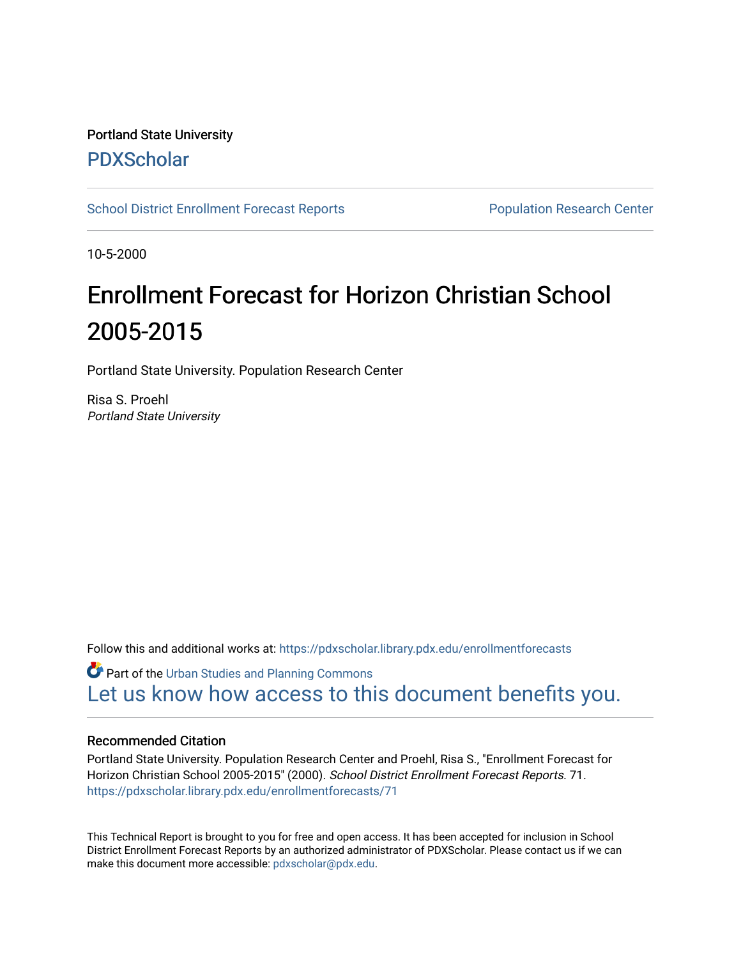# Portland State University [PDXScholar](https://pdxscholar.library.pdx.edu/)

[School District Enrollment Forecast Reports](https://pdxscholar.library.pdx.edu/enrollmentforecasts) **Population Research Center** 

10-5-2000

# Enrollment Forecast for Horizon Christian School 2005-2015

Portland State University. Population Research Center

Risa S. Proehl Portland State University

Follow this and additional works at: [https://pdxscholar.library.pdx.edu/enrollmentforecasts](https://pdxscholar.library.pdx.edu/enrollmentforecasts?utm_source=pdxscholar.library.pdx.edu%2Fenrollmentforecasts%2F71&utm_medium=PDF&utm_campaign=PDFCoverPages) 

Part of the [Urban Studies and Planning Commons](http://network.bepress.com/hgg/discipline/436?utm_source=pdxscholar.library.pdx.edu%2Fenrollmentforecasts%2F71&utm_medium=PDF&utm_campaign=PDFCoverPages) [Let us know how access to this document benefits you.](http://library.pdx.edu/services/pdxscholar-services/pdxscholar-feedback/?ref=https://pdxscholar.library.pdx.edu/enrollmentforecasts/71) 

#### Recommended Citation

Portland State University. Population Research Center and Proehl, Risa S., "Enrollment Forecast for Horizon Christian School 2005-2015" (2000). School District Enrollment Forecast Reports. 71. [https://pdxscholar.library.pdx.edu/enrollmentforecasts/71](https://pdxscholar.library.pdx.edu/enrollmentforecasts/71?utm_source=pdxscholar.library.pdx.edu%2Fenrollmentforecasts%2F71&utm_medium=PDF&utm_campaign=PDFCoverPages)

This Technical Report is brought to you for free and open access. It has been accepted for inclusion in School District Enrollment Forecast Reports by an authorized administrator of PDXScholar. Please contact us if we can make this document more accessible: [pdxscholar@pdx.edu.](mailto:pdxscholar@pdx.edu)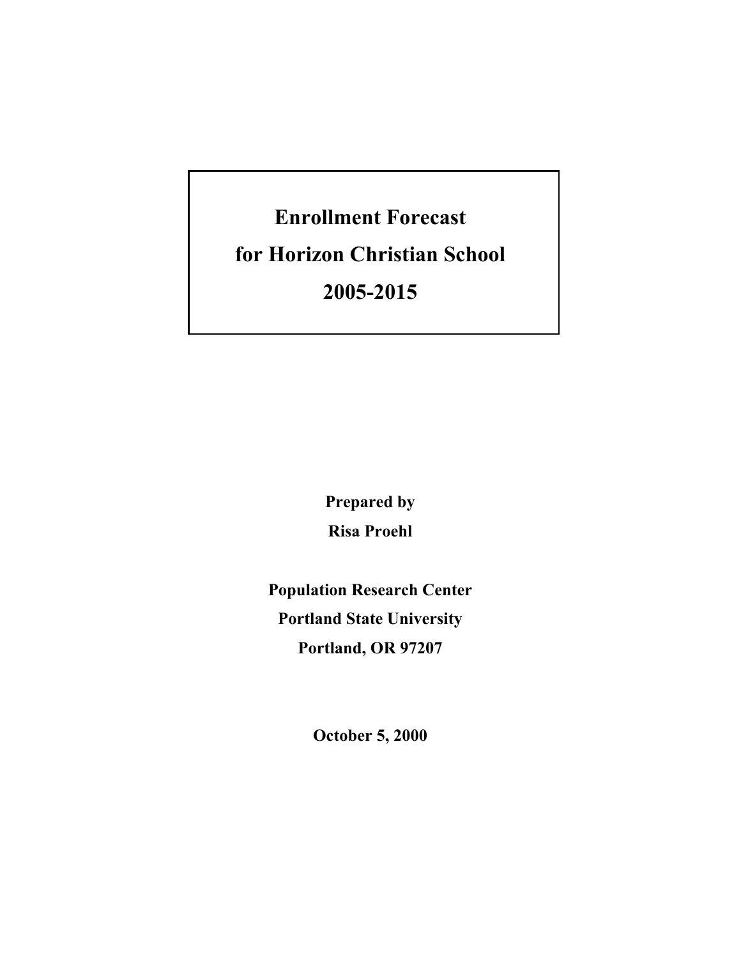# **Enrollment Forecast**

**for Horizon Christian School** 

**2005-2015** 

**Prepared by Risa Proehl** 

**Population Research Center Portland State University Portland, OR 97207** 

**October 5, 2000**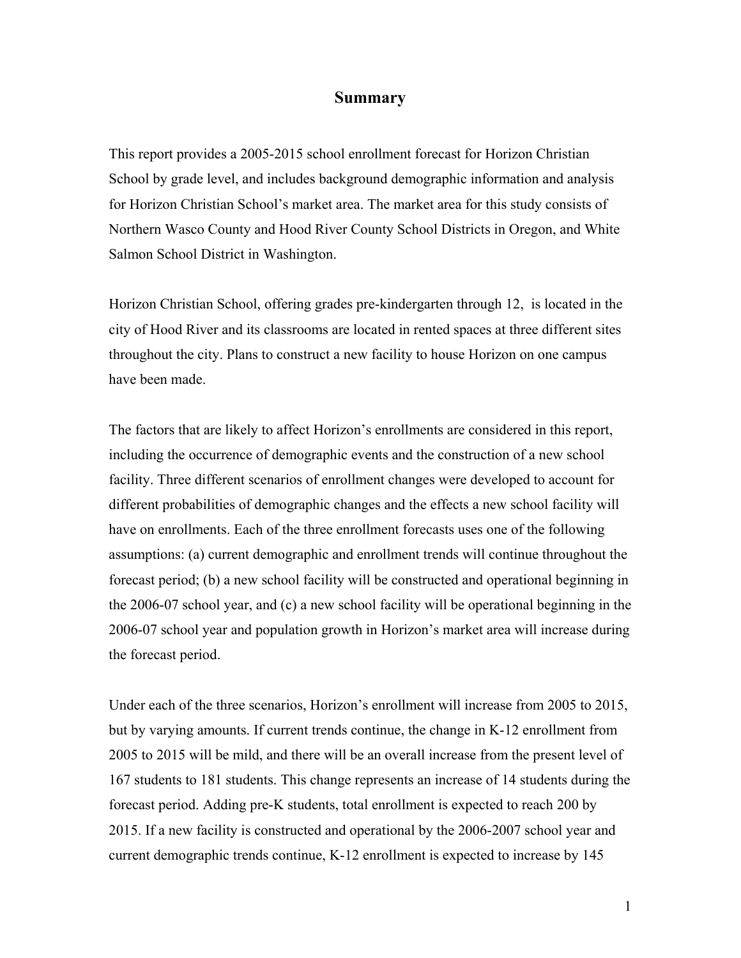#### **Summary**

This report provides a 2005-2015 school enrollment forecast for Horizon Christian School by grade level, and includes background demographic information and analysis for Horizon Christian School's market area. The market area for this study consists of Northern Wasco County and Hood River County School Districts in Oregon, and White Salmon School District in Washington.

Horizon Christian School, offering grades pre-kindergarten through 12, is located in the city of Hood River and its classrooms are located in rented spaces at three different sites throughout the city. Plans to construct a new facility to house Horizon on one campus have been made.

The factors that are likely to affect Horizon's enrollments are considered in this report, including the occurrence of demographic events and the construction of a new school facility. Three different scenarios of enrollment changes were developed to account for different probabilities of demographic changes and the effects a new school facility will have on enrollments. Each of the three enrollment forecasts uses one of the following assumptions: (a) current demographic and enrollment trends will continue throughout the forecast period; (b) a new school facility will be constructed and operational beginning in the 2006-07 school year, and (c) a new school facility will be operational beginning in the 2006-07 school year and population growth in Horizon's market area will increase during the forecast period.

Under each of the three scenarios, Horizon's enrollment will increase from 2005 to 2015, but by varying amounts. If current trends continue, the change in K-12 enrollment from 2005 to 2015 will be mild, and there will be an overall increase from the present level of 167 students to 181 students. This change represents an increase of 14 students during the forecast period. Adding pre-K students, total enrollment is expected to reach 200 by 2015. If a new facility is constructed and operational by the 2006-2007 school year and current demographic trends continue, K-12 enrollment is expected to increase by 145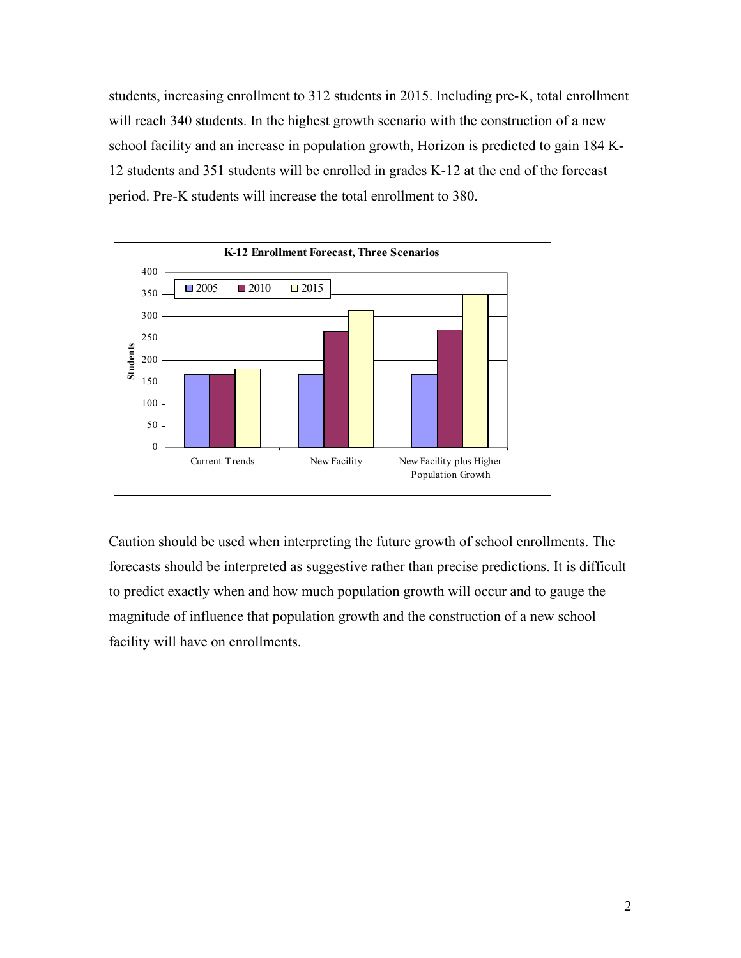students, increasing enrollment to 312 students in 2015. Including pre-K, total enrollment will reach 340 students. In the highest growth scenario with the construction of a new school facility and an increase in population growth, Horizon is predicted to gain 184 K-12 students and 351 students will be enrolled in grades K-12 at the end of the forecast period. Pre-K students will increase the total enrollment to 380.



Caution should be used when interpreting the future growth of school enrollments. The forecasts should be interpreted as suggestive rather than precise predictions. It is difficult to predict exactly when and how much population growth will occur and to gauge the magnitude of influence that population growth and the construction of a new school facility will have on enrollments.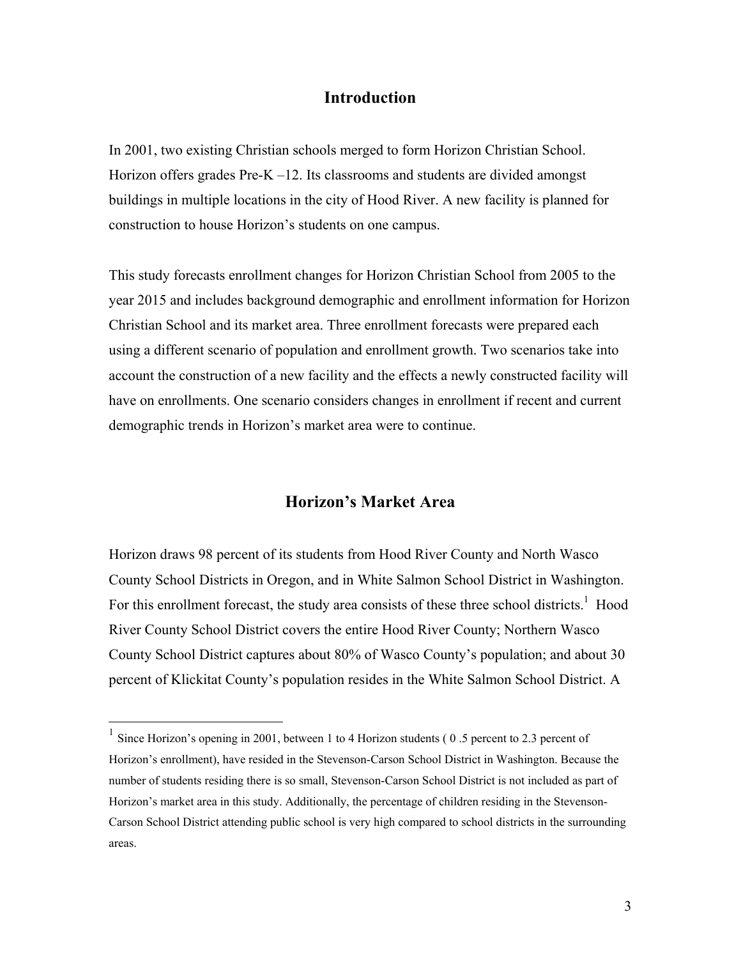#### **Introduction**

In 2001, two existing Christian schools merged to form Horizon Christian School. Horizon offers grades Pre-K –12. Its classrooms and students are divided amongst buildings in multiple locations in the city of Hood River. A new facility is planned for construction to house Horizon's students on one campus.

This study forecasts enrollment changes for Horizon Christian School from 2005 to the year 2015 and includes background demographic and enrollment information for Horizon Christian School and its market area. Three enrollment forecasts were prepared each using a different scenario of population and enrollment growth. Two scenarios take into account the construction of a new facility and the effects a newly constructed facility will have on enrollments. One scenario considers changes in enrollment if recent and current demographic trends in Horizon's market area were to continue.

#### **Horizon's Market Area**

Horizon draws 98 percent of its students from Hood River County and North Wasco County School Districts in Oregon, and in White Salmon School District in Washington. For this enrollment forecast, the study area consists of these three school districts.<sup>1</sup> Hood River County School District covers the entire Hood River County; Northern Wasco County School District captures about 80% of Wasco County's population; and about 30 percent of Klickitat County's population resides in the White Salmon School District. A

 $\overline{a}$ 

<sup>&</sup>lt;sup>1</sup> Since Horizon's opening in 2001, between 1 to 4 Horizon students (0.5 percent to 2.3 percent of Horizon's enrollment), have resided in the Stevenson-Carson School District in Washington. Because the number of students residing there is so small, Stevenson-Carson School District is not included as part of Horizon's market area in this study. Additionally, the percentage of children residing in the Stevenson-Carson School District attending public school is very high compared to school districts in the surrounding areas.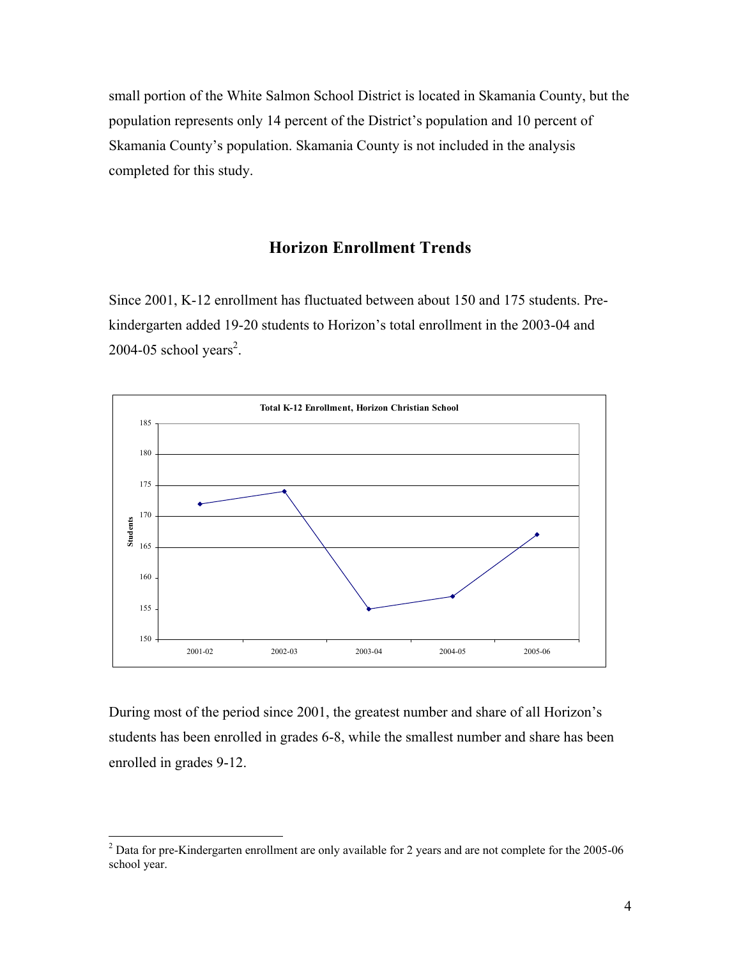small portion of the White Salmon School District is located in Skamania County, but the population represents only 14 percent of the District's population and 10 percent of Skamania County's population. Skamania County is not included in the analysis completed for this study.

#### **Horizon Enrollment Trends**

Since 2001, K-12 enrollment has fluctuated between about 150 and 175 students. Prekindergarten added 19-20 students to Horizon's total enrollment in the 2003-04 and  $2004 - 05$  school years<sup>2</sup>.



During most of the period since 2001, the greatest number and share of all Horizon's students has been enrolled in grades 6-8, while the smallest number and share has been enrolled in grades 9-12.

<sup>&</sup>lt;sup>2</sup> Data for pre-Kindergarten enrollment are only available for 2 years and are not complete for the 2005-06 school year.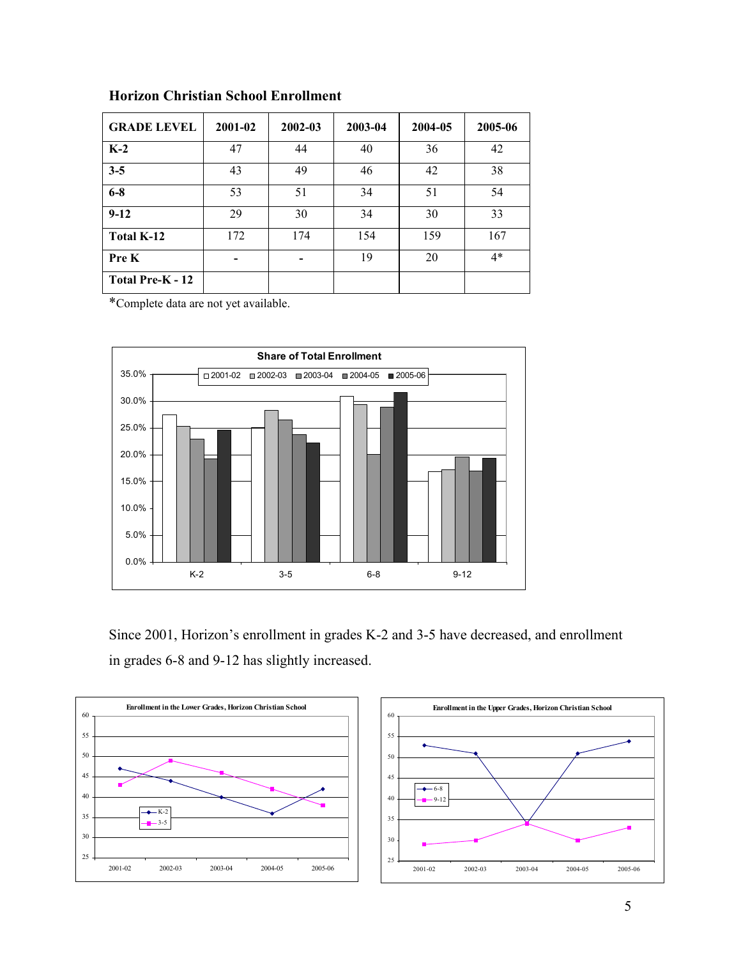| <b>GRADE LEVEL</b> | 2001-02 | 2002-03 | 2003-04 | 2004-05 | 2005-06 |
|--------------------|---------|---------|---------|---------|---------|
| $K-2$              | 47      | 44      | 40      | 36      | 42      |
| $3 - 5$            | 43      | 49      | 46      | 42      | 38      |
| $6 - 8$            | 53      | 51      | 34      | 51      | 54      |
| $9-12$             | 29      | 30      | 34      | 30      | 33      |
| Total K-12         | 172     | 174     | 154     | 159     | 167     |
| Pre K              |         |         | 19      | 20      | $4*$    |
| Total Pre-K - 12   |         |         |         |         |         |

#### **Horizon Christian School Enrollment**

\*Complete data are not yet available.



Since 2001, Horizon's enrollment in grades K-2 and 3-5 have decreased, and enrollment in grades 6-8 and 9-12 has slightly increased.

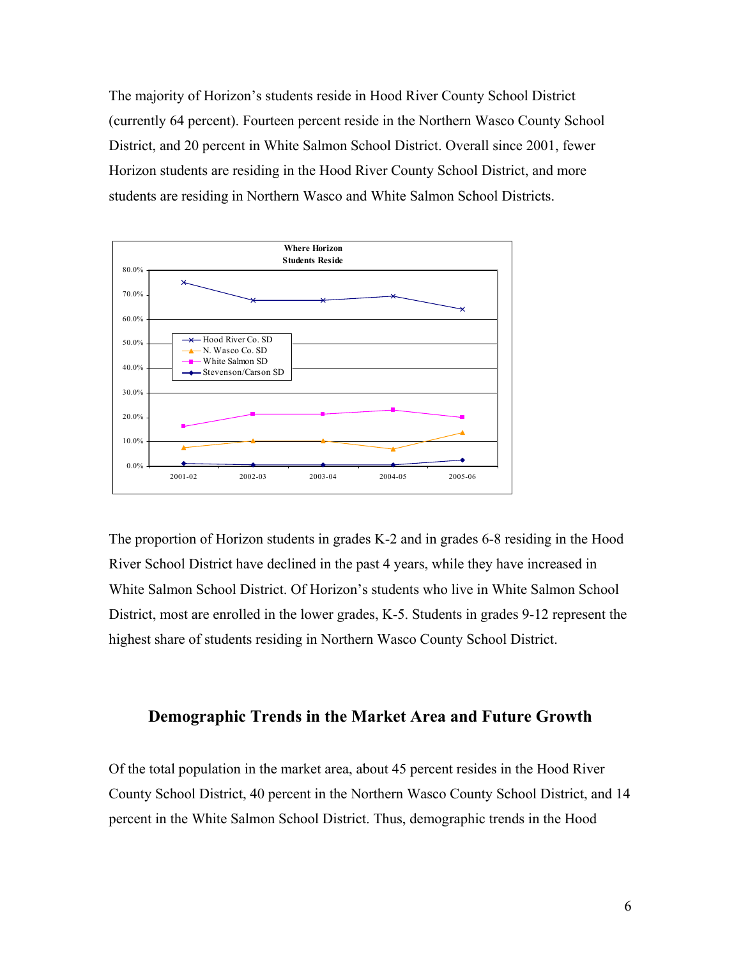The majority of Horizon's students reside in Hood River County School District (currently 64 percent). Fourteen percent reside in the Northern Wasco County School District, and 20 percent in White Salmon School District. Overall since 2001, fewer Horizon students are residing in the Hood River County School District, and more students are residing in Northern Wasco and White Salmon School Districts.



The proportion of Horizon students in grades K-2 and in grades 6-8 residing in the Hood River School District have declined in the past 4 years, while they have increased in White Salmon School District. Of Horizon's students who live in White Salmon School District, most are enrolled in the lower grades, K-5. Students in grades 9-12 represent the highest share of students residing in Northern Wasco County School District.

#### **Demographic Trends in the Market Area and Future Growth**

Of the total population in the market area, about 45 percent resides in the Hood River County School District, 40 percent in the Northern Wasco County School District, and 14 percent in the White Salmon School District. Thus, demographic trends in the Hood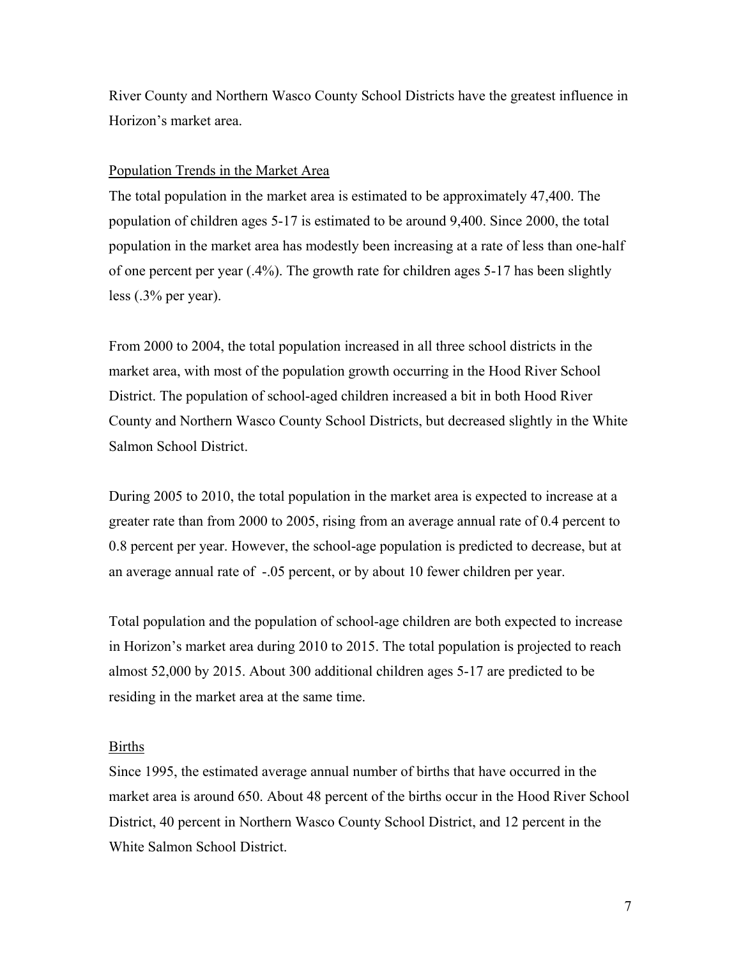River County and Northern Wasco County School Districts have the greatest influence in Horizon's market area.

#### Population Trends in the Market Area

The total population in the market area is estimated to be approximately 47,400. The population of children ages 5-17 is estimated to be around 9,400. Since 2000, the total population in the market area has modestly been increasing at a rate of less than one-half of one percent per year (.4%). The growth rate for children ages 5-17 has been slightly less (.3% per year).

From 2000 to 2004, the total population increased in all three school districts in the market area, with most of the population growth occurring in the Hood River School District. The population of school-aged children increased a bit in both Hood River County and Northern Wasco County School Districts, but decreased slightly in the White Salmon School District.

During 2005 to 2010, the total population in the market area is expected to increase at a greater rate than from 2000 to 2005, rising from an average annual rate of 0.4 percent to 0.8 percent per year. However, the school-age population is predicted to decrease, but at an average annual rate of -.05 percent, or by about 10 fewer children per year.

Total population and the population of school-age children are both expected to increase in Horizon's market area during 2010 to 2015. The total population is projected to reach almost 52,000 by 2015. About 300 additional children ages 5-17 are predicted to be residing in the market area at the same time.

#### Births

Since 1995, the estimated average annual number of births that have occurred in the market area is around 650. About 48 percent of the births occur in the Hood River School District, 40 percent in Northern Wasco County School District, and 12 percent in the White Salmon School District.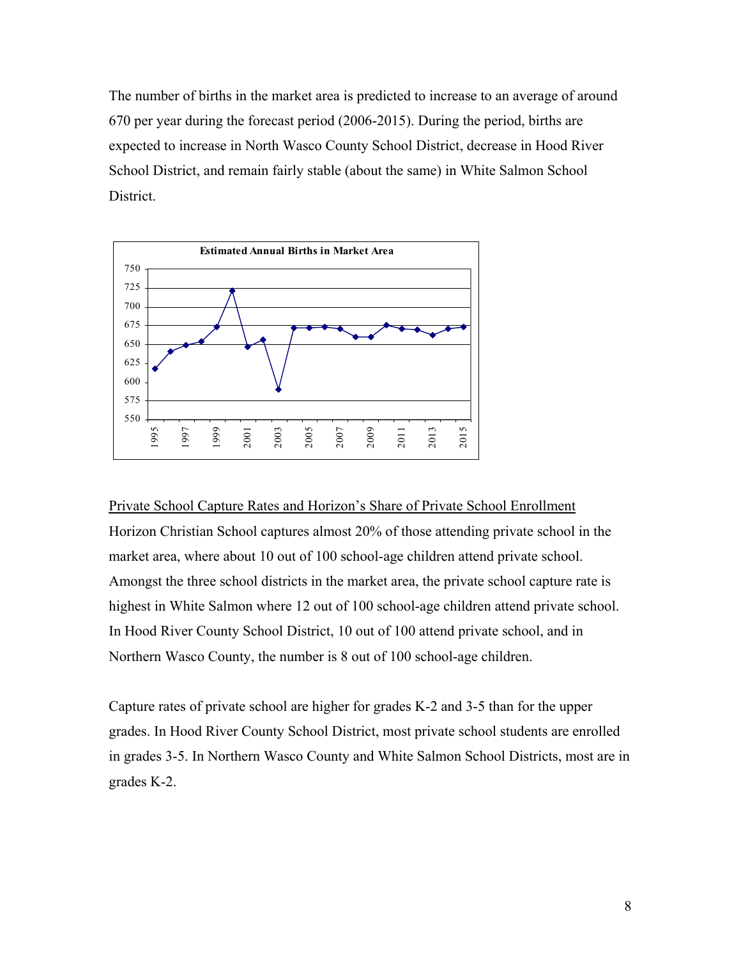The number of births in the market area is predicted to increase to an average of around 670 per year during the forecast period (2006-2015). During the period, births are expected to increase in North Wasco County School District, decrease in Hood River School District, and remain fairly stable (about the same) in White Salmon School District.



#### Private School Capture Rates and Horizon's Share of Private School Enrollment

Horizon Christian School captures almost 20% of those attending private school in the market area, where about 10 out of 100 school-age children attend private school. Amongst the three school districts in the market area, the private school capture rate is highest in White Salmon where 12 out of 100 school-age children attend private school. In Hood River County School District, 10 out of 100 attend private school, and in Northern Wasco County, the number is 8 out of 100 school-age children.

Capture rates of private school are higher for grades K-2 and 3-5 than for the upper grades. In Hood River County School District, most private school students are enrolled in grades 3-5. In Northern Wasco County and White Salmon School Districts, most are in grades K-2.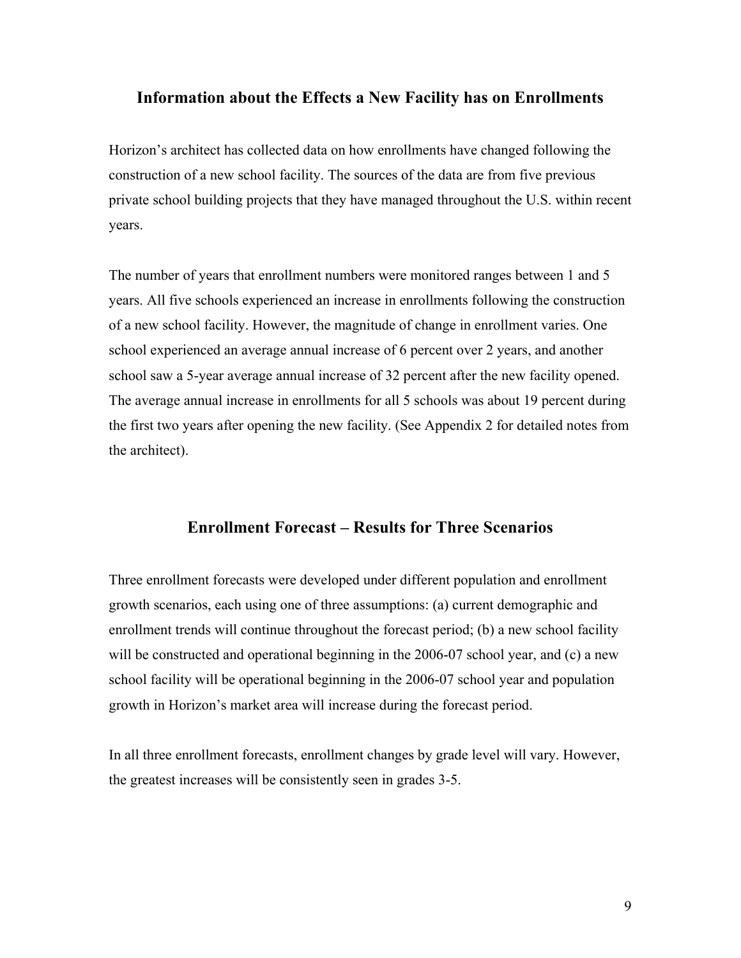#### **Information about the Effects a New Facility has on Enrollments**

Horizon's architect has collected data on how enrollments have changed following the construction of a new school facility. The sources of the data are from five previous private school building projects that they have managed throughout the U.S. within recent years.

The number of years that enrollment numbers were monitored ranges between 1 and 5 years. All five schools experienced an increase in enrollments following the construction of a new school facility. However, the magnitude of change in enrollment varies. One school experienced an average annual increase of 6 percent over 2 years, and another school saw a 5-year average annual increase of 32 percent after the new facility opened. The average annual increase in enrollments for all 5 schools was about 19 percent during the first two years after opening the new facility. (See Appendix 2 for detailed notes from the architect).

#### **Enrollment Forecast – Results for Three Scenarios**

Three enrollment forecasts were developed under different population and enrollment growth scenarios, each using one of three assumptions: (a) current demographic and enrollment trends will continue throughout the forecast period; (b) a new school facility will be constructed and operational beginning in the 2006-07 school year, and (c) a new school facility will be operational beginning in the 2006-07 school year and population growth in Horizon's market area will increase during the forecast period.

In all three enrollment forecasts, enrollment changes by grade level will vary. However, the greatest increases will be consistently seen in grades 3-5.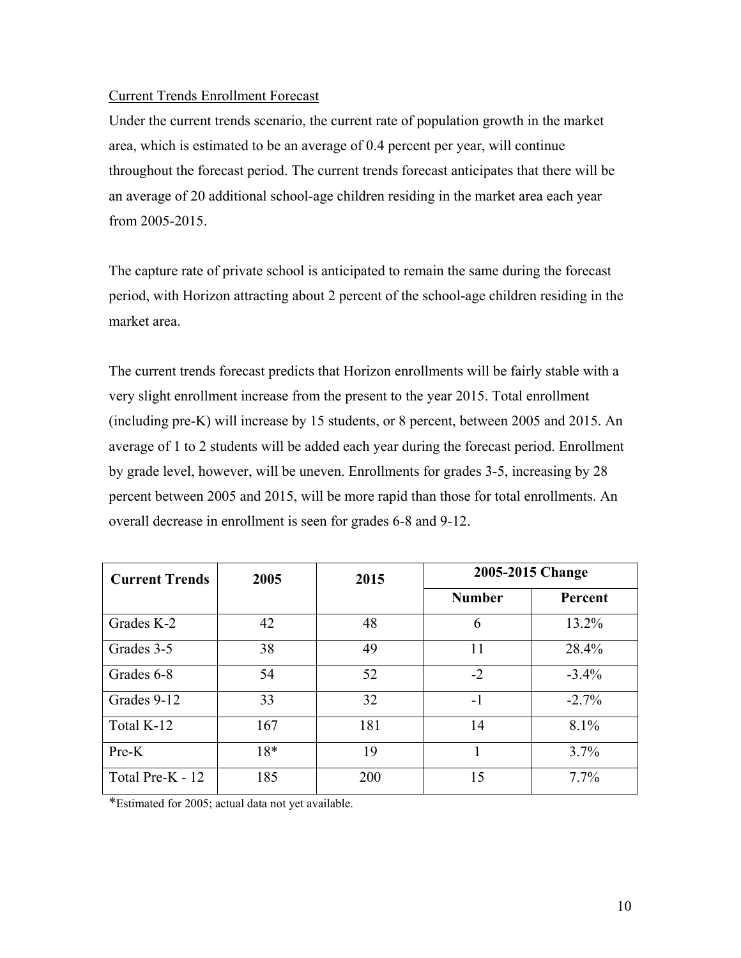#### Current Trends Enrollment Forecast

Under the current trends scenario, the current rate of population growth in the market area, which is estimated to be an average of 0.4 percent per year, will continue throughout the forecast period. The current trends forecast anticipates that there will be an average of 20 additional school-age children residing in the market area each year from 2005-2015.

The capture rate of private school is anticipated to remain the same during the forecast period, with Horizon attracting about 2 percent of the school-age children residing in the market area.

The current trends forecast predicts that Horizon enrollments will be fairly stable with a very slight enrollment increase from the present to the year 2015. Total enrollment (including pre-K) will increase by 15 students, or 8 percent, between 2005 and 2015. An average of 1 to 2 students will be added each year during the forecast period. Enrollment by grade level, however, will be uneven. Enrollments for grades 3-5, increasing by 28 percent between 2005 and 2015, will be more rapid than those for total enrollments. An overall decrease in enrollment is seen for grades 6-8 and 9-12.

| <b>Current Trends</b> | 2005  | 2015 | 2005-2015 Change |          |
|-----------------------|-------|------|------------------|----------|
|                       |       |      | <b>Number</b>    | Percent  |
| Grades K-2            | 42    | 48   | 6                | 13.2%    |
| Grades 3-5            | 38    | 49   | 11               | 28.4%    |
| Grades 6-8            | 54    | 52   | $-2$             | $-3.4\%$ |
| Grades 9-12           | 33    | 32   | $-1$             | $-2.7\%$ |
| Total K-12            | 167   | 181  | 14               | 8.1%     |
| $Pre-K$               | $18*$ | 19   |                  | 3.7%     |
| Total Pre-K - 12      | 185   | 200  | 15               | $7.7\%$  |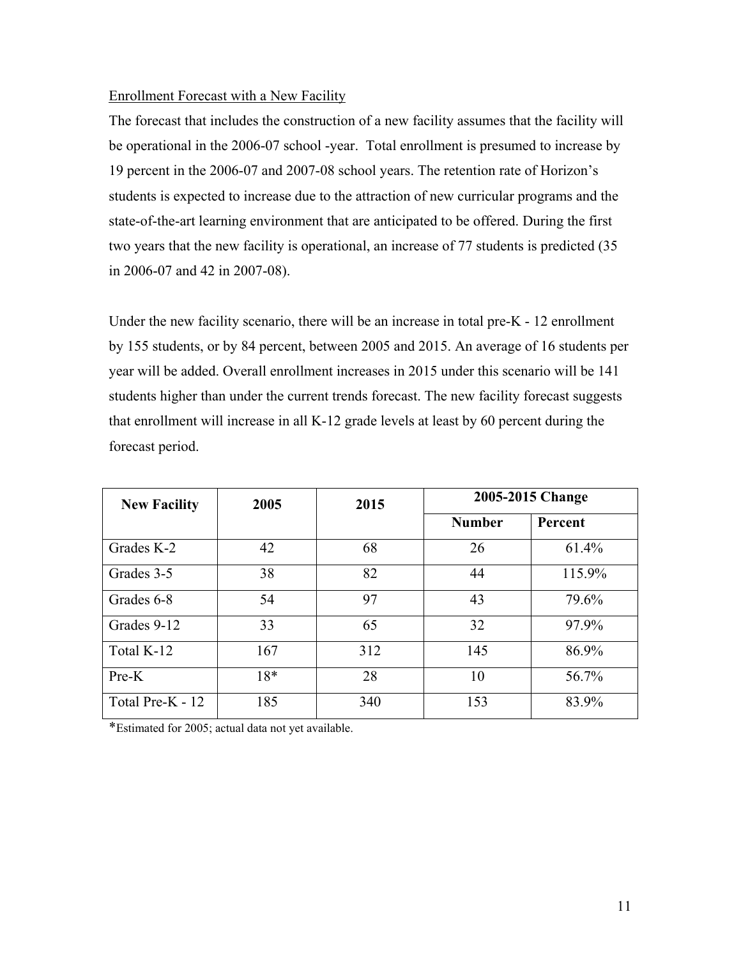#### Enrollment Forecast with a New Facility

The forecast that includes the construction of a new facility assumes that the facility will be operational in the 2006-07 school -year. Total enrollment is presumed to increase by 19 percent in the 2006-07 and 2007-08 school years. The retention rate of Horizon's students is expected to increase due to the attraction of new curricular programs and the state-of-the-art learning environment that are anticipated to be offered. During the first two years that the new facility is operational, an increase of 77 students is predicted (35 in 2006-07 and 42 in 2007-08).

Under the new facility scenario, there will be an increase in total pre-K - 12 enrollment by 155 students, or by 84 percent, between 2005 and 2015. An average of 16 students per year will be added. Overall enrollment increases in 2015 under this scenario will be 141 students higher than under the current trends forecast. The new facility forecast suggests that enrollment will increase in all K-12 grade levels at least by 60 percent during the forecast period.

| <b>New Facility</b> | 2005  | 2015 |               | 2005-2015 Change |
|---------------------|-------|------|---------------|------------------|
|                     |       |      | <b>Number</b> | Percent          |
| Grades K-2          | 42    | 68   | 26            | 61.4%            |
| Grades 3-5          | 38    | 82   | 44            | 115.9%           |
| Grades 6-8          | 54    | 97   | 43            | 79.6%            |
| Grades 9-12         | 33    | 65   | 32            | 97.9%            |
| Total K-12          | 167   | 312  | 145           | 86.9%            |
| $Pre-K$             | $18*$ | 28   | 10            | 56.7%            |
| Total Pre-K - 12    | 185   | 340  | 153           | 83.9%            |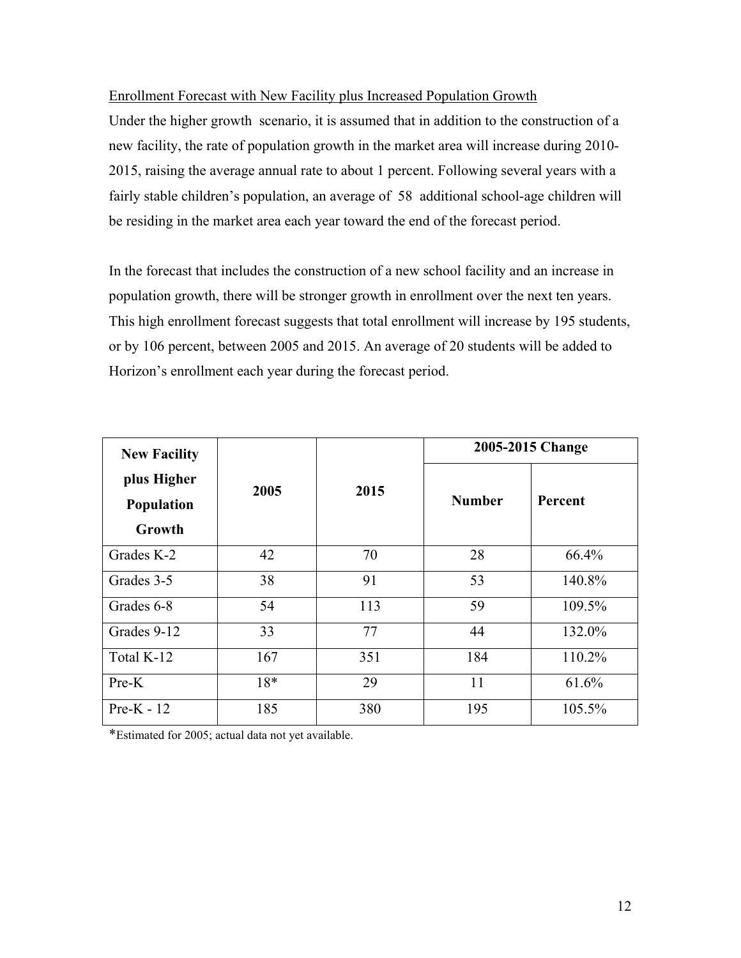Enrollment Forecast with New Facility plus Increased Population Growth

Under the higher growth scenario, it is assumed that in addition to the construction of a new facility, the rate of population growth in the market area will increase during 2010- 2015, raising the average annual rate to about 1 percent. Following several years with a fairly stable children's population, an average of 58 additional school-age children will be residing in the market area each year toward the end of the forecast period.

In the forecast that includes the construction of a new school facility and an increase in population growth, there will be stronger growth in enrollment over the next ten years. This high enrollment forecast suggests that total enrollment will increase by 195 students, or by 106 percent, between 2005 and 2015. An average of 20 students will be added to Horizon's enrollment each year during the forecast period.

| <b>New Facility</b> |       |      | 2005-2015 Change |                |  |
|---------------------|-------|------|------------------|----------------|--|
| plus Higher         | 2005  | 2015 |                  |                |  |
| Population          |       |      | <b>Number</b>    | <b>Percent</b> |  |
| Growth              |       |      |                  |                |  |
| Grades K-2          | 42    | 70   | 28               | 66.4%          |  |
| Grades 3-5          | 38    | 91   | 53               | 140.8%         |  |
| Grades 6-8          | 54    | 113  | 59               | 109.5%         |  |
| Grades 9-12         | 33    | 77   | 44               | 132.0%         |  |
| Total K-12          | 167   | 351  | 184              | 110.2%         |  |
| $Pre-K$             | $18*$ | 29   | 11               | 61.6%          |  |
| $Pre-K - 12$        | 185   | 380  | 195              | 105.5%         |  |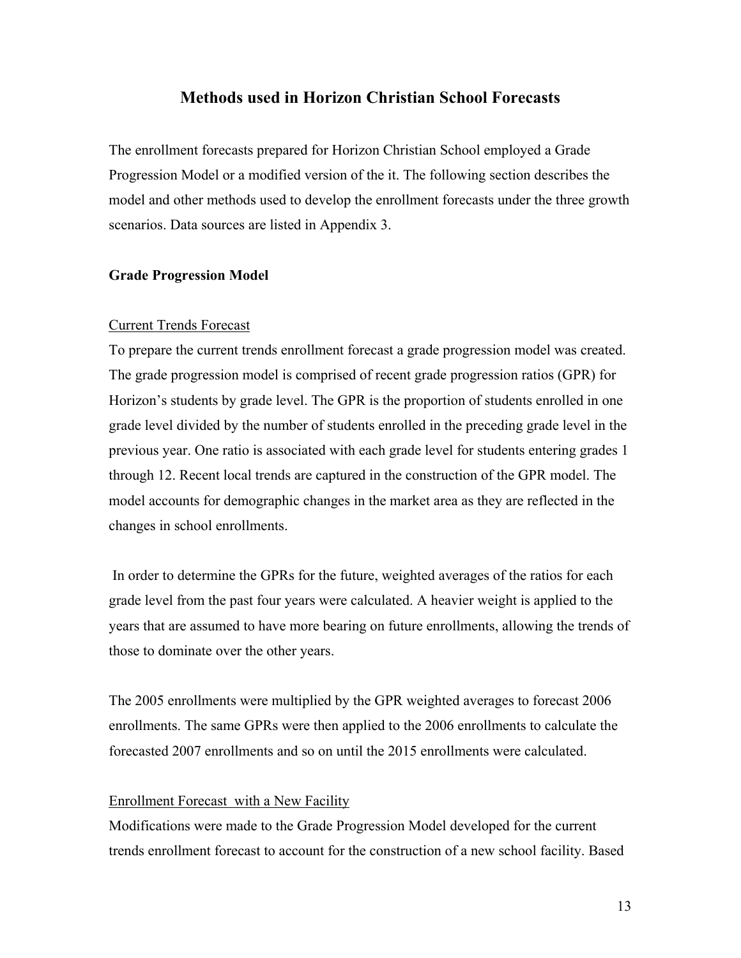#### **Methods used in Horizon Christian School Forecasts**

The enrollment forecasts prepared for Horizon Christian School employed a Grade Progression Model or a modified version of the it. The following section describes the model and other methods used to develop the enrollment forecasts under the three growth scenarios. Data sources are listed in Appendix 3.

#### **Grade Progression Model**

#### Current Trends Forecast

To prepare the current trends enrollment forecast a grade progression model was created. The grade progression model is comprised of recent grade progression ratios (GPR) for Horizon's students by grade level. The GPR is the proportion of students enrolled in one grade level divided by the number of students enrolled in the preceding grade level in the previous year. One ratio is associated with each grade level for students entering grades 1 through 12. Recent local trends are captured in the construction of the GPR model. The model accounts for demographic changes in the market area as they are reflected in the changes in school enrollments.

 In order to determine the GPRs for the future, weighted averages of the ratios for each grade level from the past four years were calculated. A heavier weight is applied to the years that are assumed to have more bearing on future enrollments, allowing the trends of those to dominate over the other years.

The 2005 enrollments were multiplied by the GPR weighted averages to forecast 2006 enrollments. The same GPRs were then applied to the 2006 enrollments to calculate the forecasted 2007 enrollments and so on until the 2015 enrollments were calculated.

#### Enrollment Forecast with a New Facility

Modifications were made to the Grade Progression Model developed for the current trends enrollment forecast to account for the construction of a new school facility. Based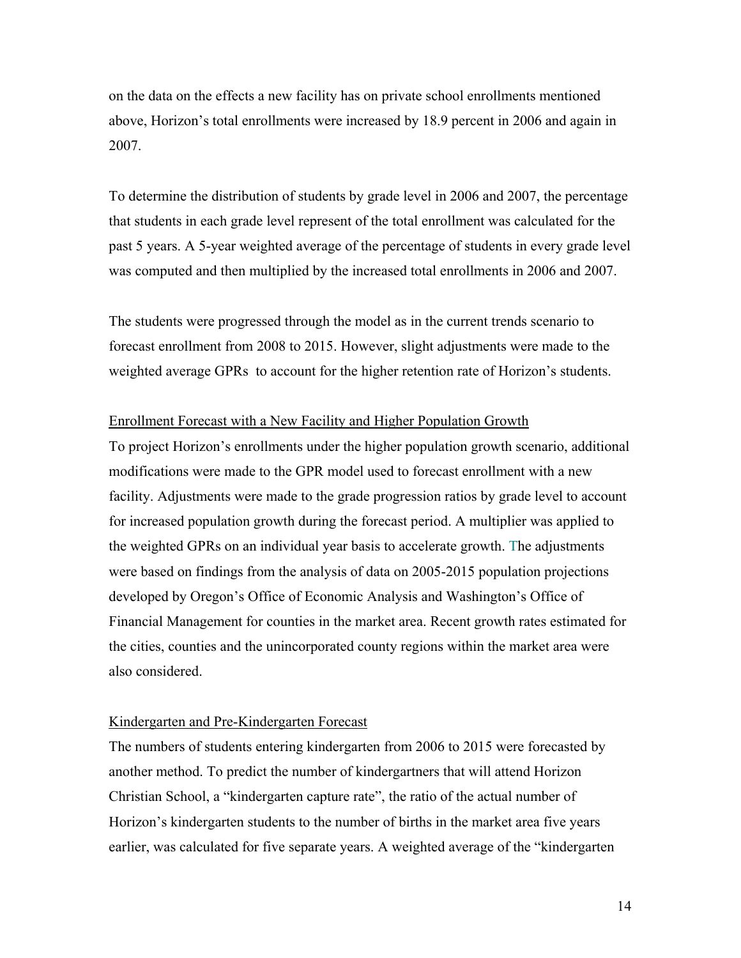on the data on the effects a new facility has on private school enrollments mentioned above, Horizon's total enrollments were increased by 18.9 percent in 2006 and again in 2007.

To determine the distribution of students by grade level in 2006 and 2007, the percentage that students in each grade level represent of the total enrollment was calculated for the past 5 years. A 5-year weighted average of the percentage of students in every grade level was computed and then multiplied by the increased total enrollments in 2006 and 2007.

The students were progressed through the model as in the current trends scenario to forecast enrollment from 2008 to 2015. However, slight adjustments were made to the weighted average GPRs to account for the higher retention rate of Horizon's students.

#### Enrollment Forecast with a New Facility and Higher Population Growth

To project Horizon's enrollments under the higher population growth scenario, additional modifications were made to the GPR model used to forecast enrollment with a new facility. Adjustments were made to the grade progression ratios by grade level to account for increased population growth during the forecast period. A multiplier was applied to the weighted GPRs on an individual year basis to accelerate growth. The adjustments were based on findings from the analysis of data on 2005-2015 population projections developed by Oregon's Office of Economic Analysis and Washington's Office of Financial Management for counties in the market area. Recent growth rates estimated for the cities, counties and the unincorporated county regions within the market area were also considered.

#### Kindergarten and Pre-Kindergarten Forecast

The numbers of students entering kindergarten from 2006 to 2015 were forecasted by another method. To predict the number of kindergartners that will attend Horizon Christian School, a "kindergarten capture rate", the ratio of the actual number of Horizon's kindergarten students to the number of births in the market area five years earlier, was calculated for five separate years. A weighted average of the "kindergarten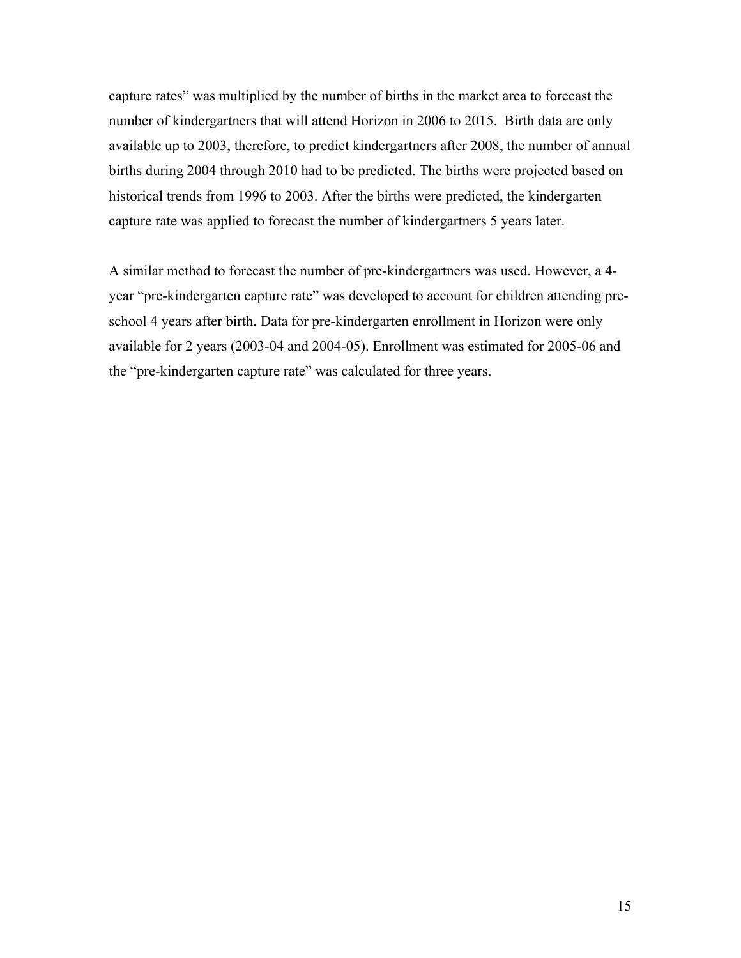capture rates" was multiplied by the number of births in the market area to forecast the number of kindergartners that will attend Horizon in 2006 to 2015. Birth data are only available up to 2003, therefore, to predict kindergartners after 2008, the number of annual births during 2004 through 2010 had to be predicted. The births were projected based on historical trends from 1996 to 2003. After the births were predicted, the kindergarten capture rate was applied to forecast the number of kindergartners 5 years later.

A similar method to forecast the number of pre-kindergartners was used. However, a 4 year "pre-kindergarten capture rate" was developed to account for children attending preschool 4 years after birth. Data for pre-kindergarten enrollment in Horizon were only available for 2 years (2003-04 and 2004-05). Enrollment was estimated for 2005-06 and the "pre-kindergarten capture rate" was calculated for three years.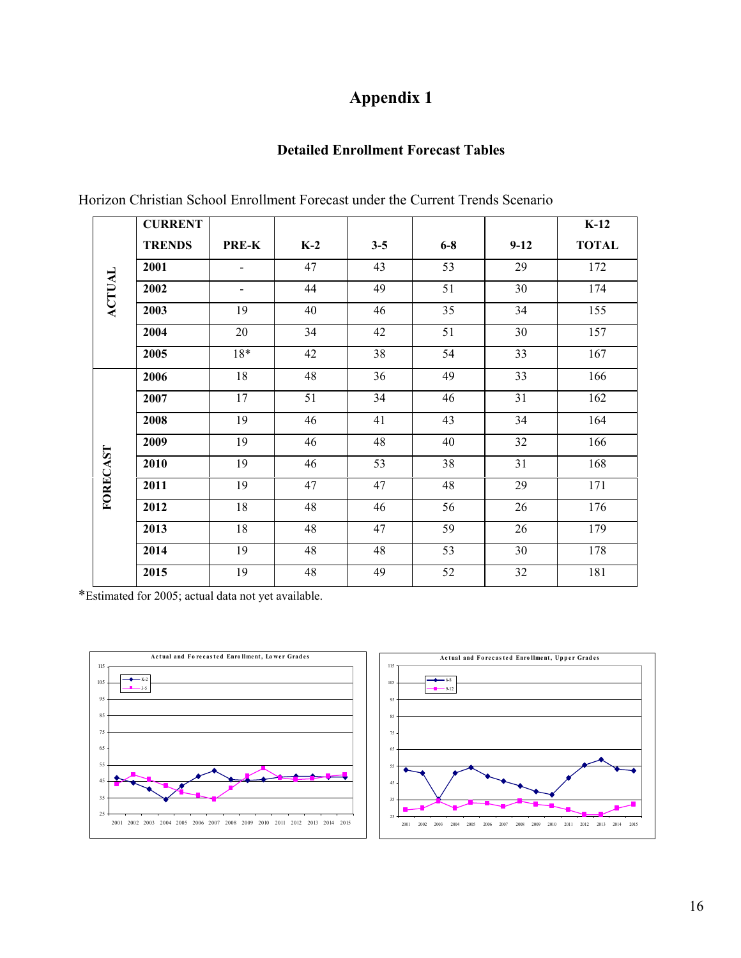# **Appendix 1**

#### **Detailed Enrollment Forecast Tables**

|               | <b>CURRENT</b> |                          |       |                 |       |        | $K-12$       |
|---------------|----------------|--------------------------|-------|-----------------|-------|--------|--------------|
|               | <b>TRENDS</b>  | PRE-K                    | $K-2$ | $3 - 5$         | $6-8$ | $9-12$ | <b>TOTAL</b> |
| <b>ACTUAL</b> | 2001           | $\overline{\phantom{a}}$ | 47    | 43              | 53    | 29     | 172          |
|               | 2002           | $\overline{\phantom{0}}$ | 44    | 49              | 51    | 30     | 174          |
|               | 2003           | 19                       | 40    | 46              | 35    | 34     | 155          |
|               | 2004           | 20                       | 34    | 42              | 51    | 30     | 157          |
|               | 2005           | $18*$                    | 42    | $\overline{38}$ | 54    | 33     | 167          |
|               | 2006           | 18                       | 48    | 36              | 49    | 33     | 166          |
|               | 2007           | 17                       | 51    | 34              | 46    | 31     | 162          |
|               | 2008           | 19                       | 46    | 41              | 43    | 34     | 164          |
|               | 2009           | 19                       | 46    | 48              | 40    | 32     | 166          |
| FORECAST      | 2010           | 19                       | 46    | 53              | 38    | 31     | 168          |
|               | 2011           | 19                       | 47    | 47              | 48    | 29     | 171          |
|               | 2012           | $18\,$                   | 48    | 46              | 56    | 26     | 176          |
|               | 2013           | 18                       | 48    | 47              | 59    | 26     | 179          |
|               | 2014           | 19                       | 48    | 48              | 53    | 30     | 178          |
|               | 2015           | 19                       | 48    | 49              | 52    | 32     | 181          |

Horizon Christian School Enrollment Forecast under the Current Trends Scenario



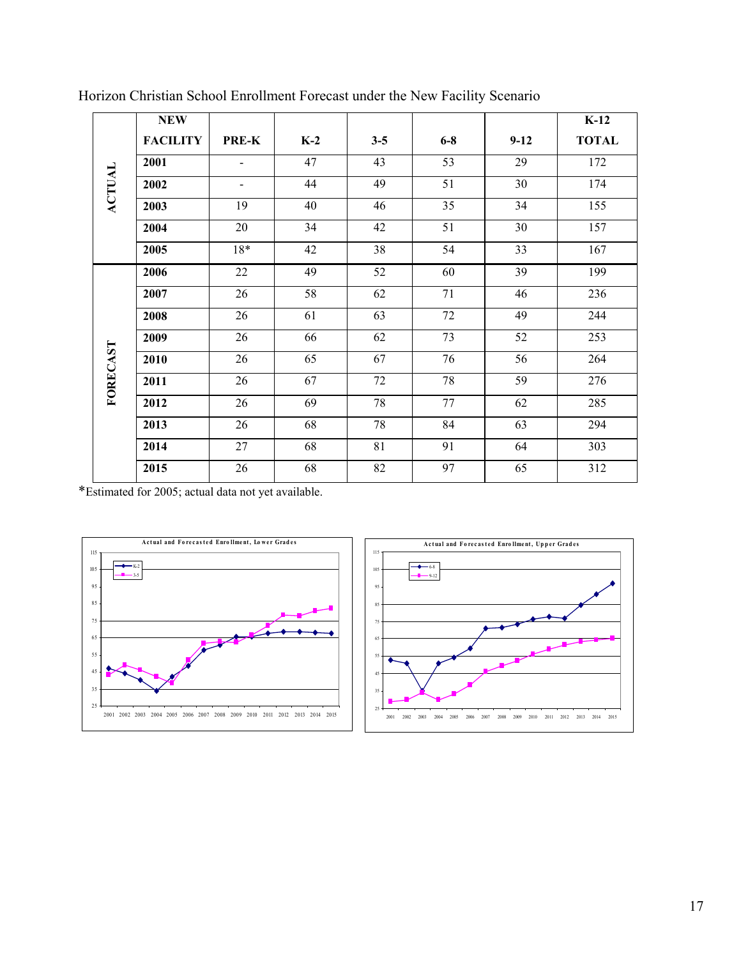|               | <b>NEW</b>      |                          |       |                 |       |          | $K-12$       |
|---------------|-----------------|--------------------------|-------|-----------------|-------|----------|--------------|
|               | <b>FACILITY</b> | PRE-K                    | $K-2$ | $3 - 5$         | $6-8$ | $9 - 12$ | <b>TOTAL</b> |
|               | 2001            |                          | 47    | 43              | 53    | 29       | 172          |
| <b>ACTUAL</b> | 2002            | $\overline{\phantom{a}}$ | 44    | 49              | 51    | 30       | 174          |
|               | 2003            | 19                       | 40    | 46              | 35    | 34       | 155          |
|               | 2004            | 20                       | 34    | 42              | 51    | 30       | 157          |
|               | 2005            | $18*$                    | 42    | 38              | 54    | 33       | 167          |
|               | 2006            | 22                       | 49    | 52              | 60    | 39       | 199          |
|               | 2007            | 26                       | 58    | 62              | 71    | 46       | 236          |
|               | 2008            | 26                       | 61    | $\overline{63}$ | 72    | 49       | 244          |
|               | 2009            | 26                       | 66    | 62              | 73    | 52       | 253          |
|               | 2010            | 26                       | 65    | 67              | 76    | 56       | 264          |
| FORECAST      | 2011            | 26                       | 67    | 72              | 78    | 59       | 276          |
|               | 2012            | 26                       | 69    | 78              | 77    | 62       | 285          |
|               | 2013            | 26                       | 68    | 78              | 84    | 63       | 294          |
|               | 2014            | 27                       | 68    | 81              | 91    | 64       | 303          |
|               | 2015            | 26                       | 68    | 82              | 97    | 65       | 312          |

Horizon Christian School Enrollment Forecast under the New Facility Scenario



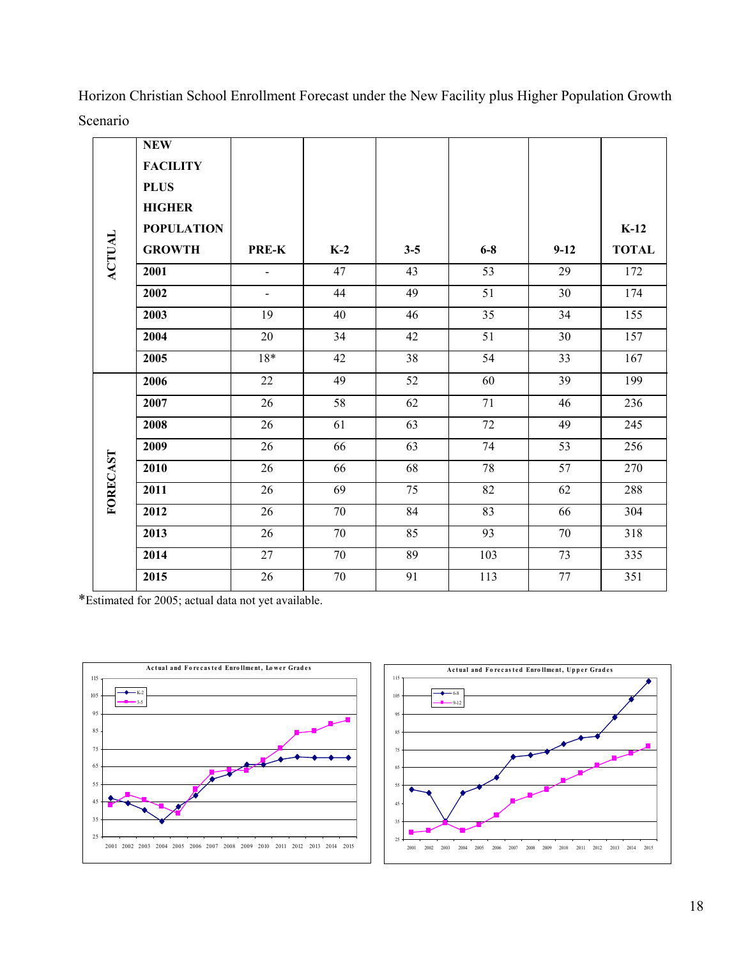|               | <b>NEW</b><br><b>FACILITY</b><br><b>PLUS</b><br><b>HIGHER</b> |                |        |                 |                 |        |              |
|---------------|---------------------------------------------------------------|----------------|--------|-----------------|-----------------|--------|--------------|
|               | <b>POPULATION</b>                                             |                |        |                 |                 |        | $K-12$       |
| <b>ACTUAL</b> | <b>GROWTH</b>                                                 | PRE-K          | $K-2$  | $3 - 5$         | $6-8$           | $9-12$ | <b>TOTAL</b> |
|               | 2001                                                          | $\blacksquare$ | 47     | 43              | 53              | 29     | 172          |
|               | 2002                                                          | $\blacksquare$ | 44     | 49              | $\overline{51}$ | 30     | 174          |
|               | 2003                                                          | 19             | 40     | 46              | $\overline{35}$ | 34     | 155          |
|               | 2004                                                          | 20             | 34     | 42              | 51              | 30     | 157          |
|               | 2005                                                          | 18*            | 42     | 38              | 54              | 33     | 167          |
|               | 2006                                                          | 22             | 49     | 52              | 60              | 39     | 199          |
|               | 2007                                                          | 26             | 58     | 62              | 71              | 46     | 236          |
|               | 2008                                                          | 26             | 61     | 63              | 72              | 49     | 245          |
|               | 2009                                                          | 26             | 66     | 63              | 74              | 53     | 256          |
| FORECAST      | 2010                                                          | 26             | 66     | 68              | $78\,$          | 57     | 270          |
|               | 2011                                                          | 26             | 69     | 75              | 82              | 62     | 288          |
|               | 2012                                                          | 26             | 70     | 84              | 83              | 66     | 304          |
|               | 2013                                                          | 26             | 70     | $\overline{85}$ | 93              | 70     | 318          |
|               | 2014                                                          | 27             | 70     | 89              | 103             | 73     | 335          |
|               | 2015                                                          | 26             | $70\,$ | 91              | 113             | $77\,$ | 351          |

Horizon Christian School Enrollment Forecast under the New Facility plus Higher Population Growth Scenario



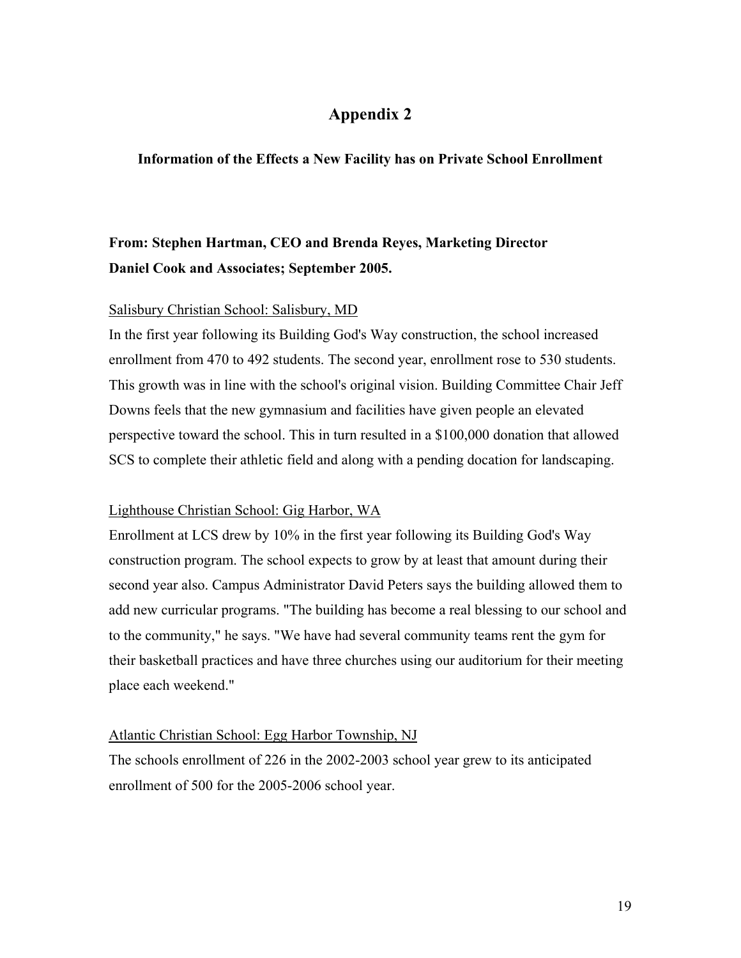### **Appendix 2**

#### **Information of the Effects a New Facility has on Private School Enrollment**

# **From: Stephen Hartman, CEO and Brenda Reyes, Marketing Director Daniel Cook and Associates; September 2005.**

#### Salisbury Christian School: Salisbury, MD

In the first year following its Building God's Way construction, the school increased enrollment from 470 to 492 students. The second year, enrollment rose to 530 students. This growth was in line with the school's original vision. Building Committee Chair Jeff Downs feels that the new gymnasium and facilities have given people an elevated perspective toward the school. This in turn resulted in a \$100,000 donation that allowed SCS to complete their athletic field and along with a pending docation for landscaping.

#### Lighthouse Christian School: Gig Harbor, WA

Enrollment at LCS drew by 10% in the first year following its Building God's Way construction program. The school expects to grow by at least that amount during their second year also. Campus Administrator David Peters says the building allowed them to add new curricular programs. "The building has become a real blessing to our school and to the community," he says. "We have had several community teams rent the gym for their basketball practices and have three churches using our auditorium for their meeting place each weekend."

#### Atlantic Christian School: Egg Harbor Township, NJ

The schools enrollment of 226 in the 2002-2003 school year grew to its anticipated enrollment of 500 for the 2005-2006 school year.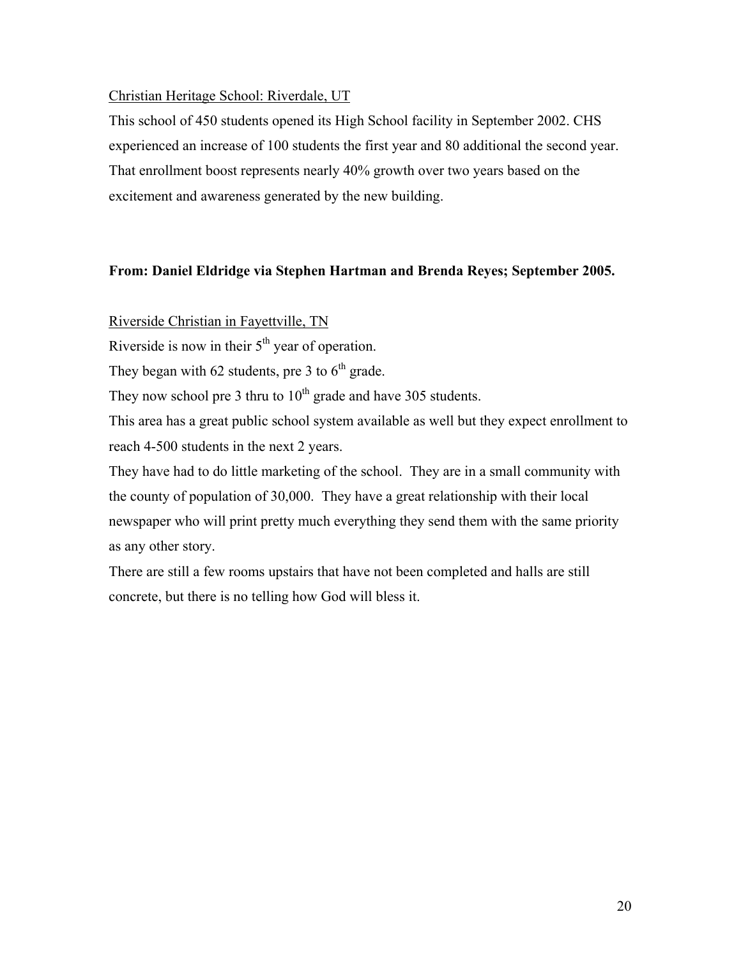#### Christian Heritage School: Riverdale, UT

This school of 450 students opened its High School facility in September 2002. CHS experienced an increase of 100 students the first year and 80 additional the second year. That enrollment boost represents nearly 40% growth over two years based on the excitement and awareness generated by the new building.

#### **From: Daniel Eldridge via Stephen Hartman and Brenda Reyes; September 2005.**

#### Riverside Christian in Fayettville, TN

Riverside is now in their  $5<sup>th</sup>$  year of operation.

They began with 62 students, pre 3 to  $6<sup>th</sup>$  grade.

They now school pre 3 thru to  $10^{th}$  grade and have 305 students.

This area has a great public school system available as well but they expect enrollment to reach 4-500 students in the next 2 years.

They have had to do little marketing of the school. They are in a small community with the county of population of 30,000. They have a great relationship with their local newspaper who will print pretty much everything they send them with the same priority as any other story.

There are still a few rooms upstairs that have not been completed and halls are still concrete, but there is no telling how God will bless it.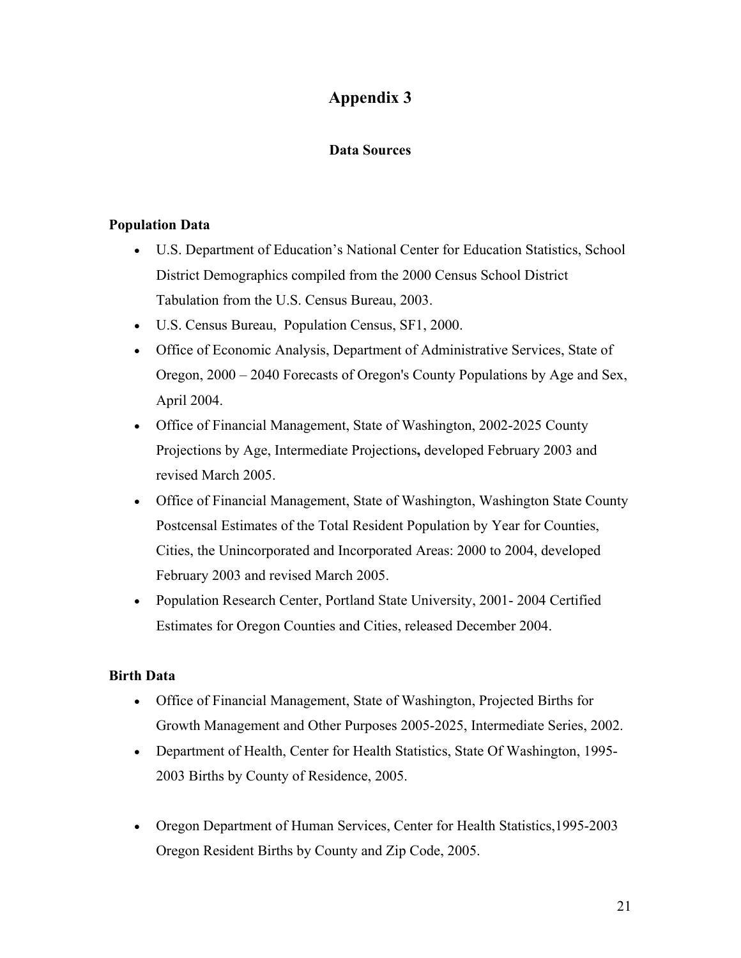# **Appendix 3**

#### **Data Sources**

#### **Population Data**

- U.S. Department of Education's National Center for Education Statistics, School District Demographics compiled from the 2000 Census School District Tabulation from the U.S. Census Bureau, 2003.
- U.S. Census Bureau, Population Census, SF1, 2000.
- Office of Economic Analysis, Department of Administrative Services, State of Oregon, 2000 – 2040 Forecasts of Oregon's County Populations by Age and Sex, April 2004.
- Office of Financial Management, State of Washington, 2002-2025 County Projections by Age, Intermediate Projections**,** developed February 2003 and revised March 2005.
- Office of Financial Management, State of Washington, Washington State County Postcensal Estimates of the Total Resident Population by Year for Counties, Cities, the Unincorporated and Incorporated Areas: 2000 to 2004, developed February 2003 and revised March 2005.
- Population Research Center, Portland State University, 2001-2004 Certified Estimates for Oregon Counties and Cities, released December 2004.

#### **Birth Data**

- Office of Financial Management, State of Washington, Projected Births for Growth Management and Other Purposes 2005-2025, Intermediate Series, 2002.
- Department of Health, Center for Health Statistics, State Of Washington, 1995- 2003 Births by County of Residence, 2005.
- Oregon Department of Human Services, Center for Health Statistics, 1995-2003 Oregon Resident Births by County and Zip Code, 2005.